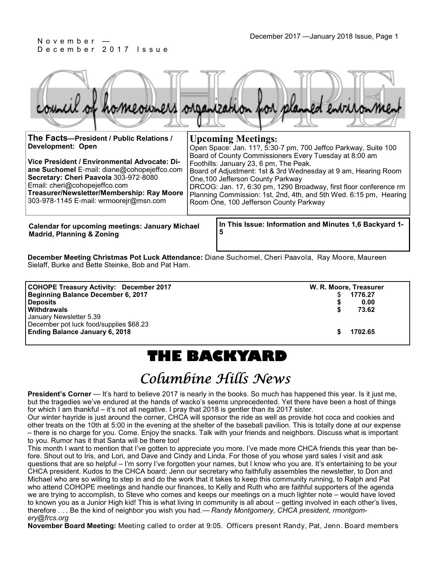# December 2017 Issue

|                                          | council of homeowners organization for planned entronment |
|------------------------------------------|-----------------------------------------------------------|
| The Facts-President / Public Relations / | <b>Upcoming Meetings:</b>                                 |

| $11101$ aves the contract of the contract of $\sim$                                                                                                                                                                                                           | UPCOMMINE IVICCUMES.                                                                                                                                                                                                                                                                                                                                                                        |
|---------------------------------------------------------------------------------------------------------------------------------------------------------------------------------------------------------------------------------------------------------------|---------------------------------------------------------------------------------------------------------------------------------------------------------------------------------------------------------------------------------------------------------------------------------------------------------------------------------------------------------------------------------------------|
| Development: Open                                                                                                                                                                                                                                             | Open Space: Jan. 11?, 5:30-7 pm, 700 Jeffco Parkway, Suite 100                                                                                                                                                                                                                                                                                                                              |
| Vice President / Environmental Advocate: Di-<br>ane Suchomel E-mail: diane@cohopejeffco.com<br>Secretary: Cheri Paavola 303-972-8080<br>Email: cheri@cohopejeffco.com<br>Treasurer/Newsletter/Membership: Ray Moore<br>303-978-1145 E-mail: wrmoorejr@msn.com | Board of County Commissioners Every Tuesday at 8:00 am<br>Foothills: January 23, 6 pm, The Peak.<br>Board of Adjustment: 1st & 3rd Wednesday at 9 am, Hearing Room<br>One, 100 Jefferson County Parkway<br>DRCOG: Jan. 17, 6:30 pm, 1290 Broadway, first floor conference rm<br>Planning Commission: 1st, 2nd, 4th, and 5th Wed. 6:15 pm, Hearing<br>Room One, 100 Jefferson County Parkway |

**Calendar for upcoming meetings: January Michael Madrid, Planning & Zoning**

**In This Issue: Information and Minutes 1,6 Backyard 1- 5** 

**December Meeting Christmas Pot Luck Attendance:** Diane Suchomel, Cheri Paavola, Ray Moore, Maureen Sielaff, Burke and Bette Steinke, Bob and Pat Ham.

| <b>COHOPE Treasury Activity: December 2017</b> | W. R. Moore, Treasurer |
|------------------------------------------------|------------------------|
| Beginning Balance December 6, 2017             | 1776.27                |
| <b>Deposits</b>                                | 0.00                   |
| <b>Withdrawals</b>                             | 73.62                  |
| January Newsletter 5.39                        |                        |
| December pot luck food/supplies \$68.23        |                        |
| <b>Ending Balance January 6, 2018</b>          | 1702.65                |

## **THE BACKYARD**

## Columbine Hills News

**President's Corner** — It's hard to believe 2017 is nearly in the books. So much has happened this year. Is it just me, but the tragedies we've endured at the hands of wacko's seems unprecedented. Yet there have been a host of things for which I am thankful – it's not all negative. I pray that 2018 is gentler than its 2017 sister.

Our winter hayride is just around the corner, CHCA will sponsor the ride as well as provide hot coca and cookies and other treats on the 10th at 5:00 in the evening at the shelter of the baseball pavilion. This is totally done at our expense – there is no charge for you. Come. Enjoy the snacks. Talk with your friends and neighbors. Discuss what is important to you. Rumor has it that Santa will be there too!

This month I want to mention that I've gotten to appreciate you more. I've made more CHCA friends this year than before. Shout out to Iris, and Lori, and Dave and Cindy and Linda. For those of you whose yard sales I visit and ask questions that are so helpful – I'm sorry I've forgotten your names, but I know who you are. It's entertaining to be your CHCA president. Kudos to the CHCA board: Jenn our secretary who faithfully assembles the newsletter, to Don and Michael who are so willing to step in and do the work that it takes to keep this community running, to Ralph and Pat who attend COHOPE meetings and handle our finances, to Kelly and Ruth who are faithful supporters of the agenda we are trying to accomplish, to Steve who comes and keeps our meetings on a much lighter note – would have loved to known you as a Junior High kid! This is what living in community is all about – getting involved in each other's lives, therefore . . . Be the kind of neighbor you wish you had.— *Randy Montgomery, CHCA president, rmontgomery@frcs.org*

**November Board Meeting:** Meeting called to order at 9:05. Officers present Randy, Pat, Jenn. Board members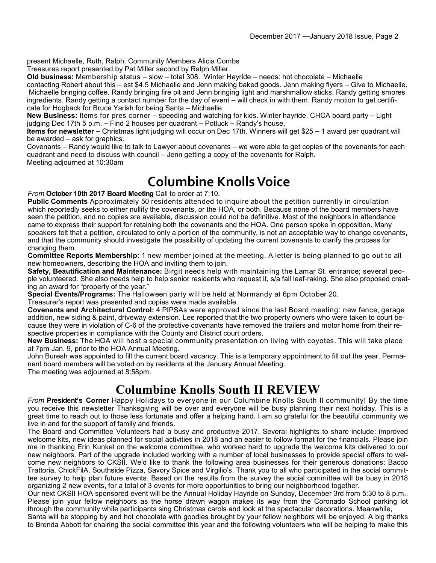present Michaelle, Ruth, Ralph. Community Members Alicia Combs

Treasures report presented by Pat Miller second by Ralph Miller.

**Old business:** Membership status – slow – total 308. Winter Hayride – needs: hot chocolate – Michaelle contacting Robert about this – est \$4.5 Michaelle and Jenn making baked goods. Jenn making flyers – Give to Michaelle. Michaelle bringing coffee. Randy bringing fire pit and Jenn bringing light and marshmallow sticks. Randy getting smores ingredients. Randy getting a contact number for the day of event – will check in with them. Randy motion to get certificate for Hogback for Bruce Yarish for being Santa – Michaelle.

**New Business:** Items for pres corner – speeding and watching for kids. Winter hayride. CHCA board party – Light judging Dec 17th 5 p.m. – Find 2 houses per quadrant – Potluck – Randy's house.

**Items for newsletter –** Christmas light judging will occur on Dec 17th. Winners will get \$25 – 1 award per quadrant will be awarded – ask for graphics.

Covenants – Randy would like to talk to Lawyer about covenants – we were able to get copies of the covenants for each quadrant and need to discuss with council – Jenn getting a copy of the covenants for Ralph. Meeting adjourned at 10:30am

### **Columbine Knolls Voice**

*From* **October 10th 2017 Board Meeting** Call to order at 7:10.

**Public Comments** Approximately 50 residents attended to inquire about the petition currently in circulation which reportedly seeks to either nullify the covenants, or the HOA, or both. Because none of the board members have seen the petition, and no copies are available, discussion could not be definitive. Most of the neighbors in attendance came to express their support for retaining both the covenants and the HOA. One person spoke in opposition. Many speakers felt that a petition, circulated to only a portion of the community, is not an acceptable way to change covenants, and that the community should investigate the possibility of updating the current covenants to clarify the process for changing them.

**Committee Reports Membership:** 1 new member joined at the meeting. A letter is being planned to go out to all new homeowners, describing the HOA and inviting them to join.

**Safety, Beautification and Maintenance:** Birgit needs help with maintaining the Lamar St. entrance; several people volunteered. She also needs help to help senior residents who request it, s/a fall leaf-raking. She also proposed creating an award for "property of the year."

**Special Events/Programs:** The Halloween party will be held at Normandy at 6pm October 20. Treasurer's report was presented and copies were made available.

**Covenants and Architectural Control:** 4 PIPSAs were approved since the last Board meeting: new fence, garage addition, new siding & paint, driveway extension. Lee reported that the two property owners who were taken to court because they were in violation of C-6 of the protective covenants have removed the trailers and motor home from their respective properties in compliance with the County and District court orders.

**New Business:** The HOA will host a special community presentation on living with coyotes. This will take place at 7pm Jan. 9, prior to the HOA Annual Meeting.

John Buresh was appointed to fill the current board vacancy. This is a temporary appointment to fill out the year. Permanent board members will be voted on by residents at the January Annual Meeting.

The meeting was adjourned at 8:58pm.

### **Columbine Knolls South II REVIEW**

*From* **President's Corner** Happy Holidays to everyone in our Columbine Knolls South II community! By the time you receive this newsletter Thanksgiving will be over and everyone will be busy planning their next holiday. This is a great time to reach out to those less fortunate and offer a helping hand. I am so grateful for the beautiful community we live in and for the support of family and friends.

The Board and Committee Volunteers had a busy and productive 2017. Several highlights to share include: improved welcome kits, new ideas planned for social activities in 2018 and an easier to follow format for the financials. Please join me in thanking Erin Kunkel on the welcome committee, who worked hard to upgrade the welcome kits delivered to our new neighbors. Part of the upgrade included working with a number of local businesses to provide special offers to welcome new neighbors to CKSII. We'd like to thank the following area businesses for their generous donations: Bacco Trattoria, ChickFilA, Southside Pizza, Savory Spice and Virgilio's. Thank you to all who participated in the social committee survey to help plan future events. Based on the results from the survey the social committee will be busy in 2018 organizing 2 new events, for a total of 3 events for more opportunities to bring our neighborhood together.

Our next CKSII HOA sponsored event will be the Annual Holiday Hayride on Sunday, December 3rd from 5:30 to 8 p.m.. Please join your fellow neighbors as the horse drawn wagon makes its way from the Coronado School parking lot through the community while participants sing Christmas carols and look at the spectacular decorations. Meanwhile,

Santa will be stopping by and hot chocolate with goodies brought by your fellow neighbors will be enjoyed. A big thanks to Brenda Abbott for chairing the social committee this year and the following volunteers who will be helping to make this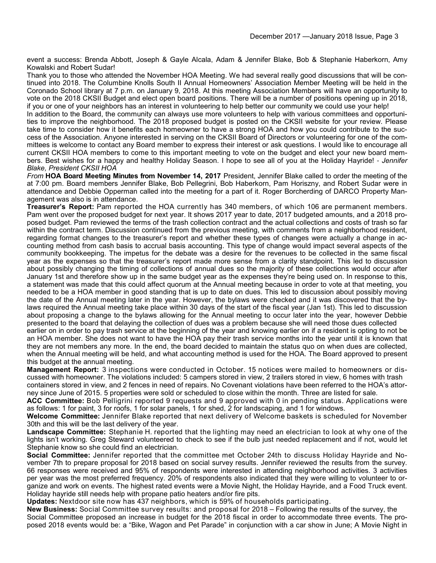event a success: Brenda Abbott, Joseph & Gayle Alcala, Adam & Jennifer Blake, Bob & Stephanie Haberkorn, Amy Kowalski and Robert Sudar!

Thank you to those who attended the November HOA Meeting. We had several really good discussions that will be continued into 2018. The Columbine Knolls South II Annual Homeowners' Association Member Meeting will be held in the Coronado School library at 7 p.m. on January 9, 2018. At this meeting Association Members will have an opportunity to vote on the 2018 CKSII Budget and elect open board positions. There will be a number of positions opening up in 2018, if you or one of your neighbors has an interest in volunteering to help better our community we could use your help!

In addition to the Board, the community can always use more volunteers to help with various committees and opportunities to improve the neighborhood. The 2018 proposed budget is posted on the CKSII website for your review. Please take time to consider how it benefits each homeowner to have a strong HOA and how you could contribute to the success of the Association. Anyone interested in serving on the CKSII Board of Directors or volunteering for one of the committees is welcome to contact any Board member to express their interest or ask questions. I would like to encourage all current CKSII HOA members to come to this important meeting to vote on the budget and elect your new board members. Best wishes for a happy and healthy Holiday Season. I hope to see all of you at the Holiday Hayride! - *Jennifer Blake, President CKSII HOA*

*From* **HOA Board Meeting Minutes from November 14, 2017** President, Jennifer Blake called to order the meeting of the at 7:00 pm. Board members Jennifer Blake, Bob Pellegrini, Bob Haberkorn, Pam Horiszny, and Robert Sudar were in attendance and Debbie Opperman called into the meeting for a part of it. Roger Borcherding of DARCO Property Management was also is in attendance.

**Treasurer's Report:** Pam reported the HOA currently has 340 members, of which 106 are permanent members. Pam went over the proposed budget for next year. It shows 2017 year to date, 2017 budgeted amounts, and a 2018 proposed budget. Pam reviewed the terms of the trash collection contract and the actual collections and costs of trash so far within the contract term. Discussion continued from the previous meeting, with comments from a neighborhood resident, regarding format changes to the treasurer's report and whether these types of changes were actually a change in accounting method from cash basis to accrual basis accounting. This type of change would impact several aspects of the community bookkeeping. The impetus for the debate was a desire for the revenues to be collected in the same fiscal year as the expenses so that the treasurer's report made more sense from a clarity standpoint. This led to discussion about possibly changing the timing of collections of annual dues so the majority of these collections would occur after January 1st and therefore show up in the same budget year as the expenses they're being used on. In response to this, a statement was made that this could affect quorum at the Annual meeting because in order to vote at that meeting, you needed to be a HOA member in good standing that is up to date on dues. This led to discussion about possibly moving the date of the Annual meeting later in the year. However, the bylaws were checked and it was discovered that the bylaws required the Annual meeting take place within 30 days of the start of the fiscal year (Jan 1st). This led to discussion about proposing a change to the bylaws allowing for the Annual meeting to occur later into the year, however Debbie presented to the board that delaying the collection of dues was a problem because she will need those dues collected

earlier on in order to pay trash service at the beginning of the year and knowing earlier on if a resident is opting to not be an HOA member. She does not want to have the HOA pay their trash service months into the year until it is known that they are not members any more. In the end, the board decided to maintain the status quo on when dues are collected, when the Annual meeting will be held, and what accounting method is used for the HOA. The Board approved to present this budget at the annual meeting.

**Management Report:** 3 inspections were conducted in October. 15 notices were mailed to homeowners or discussed with homeowner. The violations included: 5 campers stored in view, 2 trailers stored in view, 6 homes with trash containers stored in view, and 2 fences in need of repairs. No Covenant violations have been referred to the HOA's attor-

ney since June of 2015. 5 properties were sold or scheduled to close within the month. Three are listed for sale.

**ACC Committee:** Bob Pelligrini reported 9 requests and 9 approved with 0 in pending status. Applications were as follows: 1 for paint, 3 for roofs, 1 for solar panels, 1 for shed, 2 for landscaping, and 1 for windows.

**Welcome Committee:** Jennifer Blake reported that next delivery of Welcome baskets is scheduled for November 30th and this will be the last delivery of the year.

**Landscape Committee:** Stephanie H. reported that the lighting may need an electrician to look at why one of the lights isn't working. Greg Steward volunteered to check to see if the bulb just needed replacement and if not, would let Stephanie know so she could find an electrician.

**Social Committee:** Jennifer reported that the committee met October 24th to discuss Holiday Hayride and November 7th to prepare proposal for 2018 based on social survey results. Jennifer reviewed the results from the survey. 66 responses were received and 95% of respondents were interested in attending neighborhood activities. 3 activities per year was the most preferred frequency. 20% of respondents also indicated that they were willing to volunteer to organize and work on events. The highest rated events were a Movie Night, the Holiday Hayride, and a Food Truck event. Holiday hayride still needs help with propane patio heaters and/or fire pits.

**Updates:** Nextdoor site now has 437 neighbors, which is 59% of households participating.

**New Business:** Social Committee survey results: and proposal for 2018 – Following the results of the survey, the Social Committee proposed an increase in budget for the 2018 fiscal in order to accommodate three events. The proposed 2018 events would be: a "Bike, Wagon and Pet Parade" in conjunction with a car show in June; A Movie Night in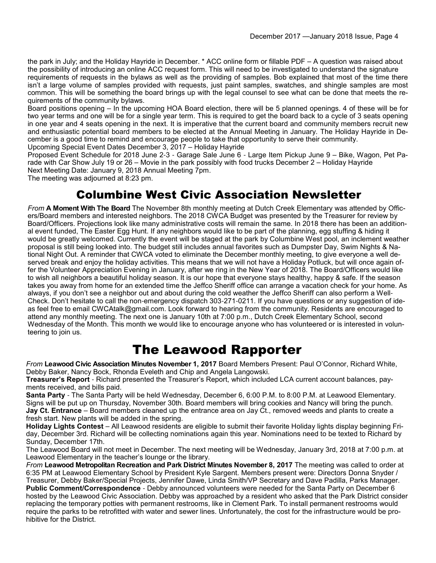the park in July; and the Holiday Hayride in December. \* ACC online form or fillable PDF – A question was raised about the possibility of introducing an online ACC request form. This will need to be investigated to understand the signature requirements of requests in the bylaws as well as the providing of samples. Bob explained that most of the time there isn't a large volume of samples provided with requests, just paint samples, swatches, and shingle samples are most common. This will be something the board brings up with the legal counsel to see what can be done that meets the requirements of the community bylaws.

Board positions opening – In the upcoming HOA Board election, there will be 5 planned openings. 4 of these will be for two year terms and one will be for a single year term. This is required to get the board back to a cycle of 3 seats opening in one year and 4 seats opening in the next. It is imperative that the current board and community members recruit new and enthusiastic potential board members to be elected at the Annual Meeting in January. The Holiday Hayride in December is a good time to remind and encourage people to take that opportunity to serve their community.

Upcoming Special Event Dates December 3, 2017 – Holiday Hayride Proposed Event Schedule for 2018 June 2-3 - Garage Sale June 6 - Large Item Pickup June 9 – Bike, Wagon, Pet Pa-

rade with Car Show July 19 or 26 – Movie in the park possibly with food trucks December 2 – Holiday Hayride

Next Meeting Date: January 9, 2018 Annual Meeting 7pm.

The meeting was adjourned at 8:23 pm.

#### Columbine West Civic Association Newsletter

*From* **A Moment With The Board** The November 8th monthly meeting at Dutch Creek Elementary was attended by Officers/Board members and interested neighbors. The 2018 CWCA Budget was presented by the Treasurer for review by Board/Officers. Projections look like many administrative costs will remain the same. In 2018 there has been an additional event funded, The Easter Egg Hunt. If any neighbors would like to be part of the planning, egg stuffing & hiding it would be greatly welcomed. Currently the event will be staged at the park by Columbine West pool, an inclement weather proposal is still being looked into. The budget still includes annual favorites such as Dumpster Day, Swim Nights & National Night Out. A reminder that CWCA voted to eliminate the December monthly meeting, to give everyone a well deserved break and enjoy the holiday activities. This means that we will not have a Holiday Potluck, but will once again offer the Volunteer Appreciation Evening in January, after we ring in the New Year of 2018. The Board/Officers would like to wish all neighbors a beautiful holiday season. It is our hope that everyone stays healthy, happy & safe. If the season takes you away from home for an extended time the Jeffco Sheriff office can arrange a vacation check for your home. As always, if you don't see a neighbor out and about during the cold weather the Jeffco Sheriff can also perform a Well-Check. Don't hesitate to call the non-emergency dispatch 303-271-0211. If you have questions or any suggestion of ideas feel free to email CWCAtalk@gmail.com. Look forward to hearing from the community. Residents are encouraged to attend any monthly meeting. The next one is January 10th at 7:00 p.m., Dutch Creek Elementary School, second Wednesday of the Month. This month we would like to encourage anyone who has volunteered or is interested in volunteering to join us.

### The Leawood Rapporter

*From* **Leawood Civic Association Minutes November 1, 2017** Board Members Present: Paul O'Connor, Richard White, Debby Baker, Nancy Bock, Rhonda Eveleth and Chip and Angela Langowski.

**Treasurer's Report** - Richard presented the Treasurer's Report, which included LCA current account balances, payments received, and bills paid.

**Santa Party** - The Santa Party will be held Wednesday, December 6, 6:00 P.M. to 8:00 P.M. at Leawood Elementary. Signs will be put up on Thursday, November 30th. Board members will bring cookies and Nancy will bring the punch. **Jay Ct. Entrance** – Board members cleaned up the entrance area on Jay Ct., removed weeds and plants to create a fresh start. New plants will be added in the spring.

**Holiday Lights Contest** – All Leawood residents are eligible to submit their favorite Holiday lights display beginning Friday, December 3rd. Richard will be collecting nominations again this year. Nominations need to be texted to Richard by Sunday, December 17th.

The Leawood Board will not meet in December. The next meeting will be Wednesday, January 3rd, 2018 at 7:00 p.m. at Leawood Elementary in the teacher's lounge or the library.

*From* **Leawood Metropolitan Recreation and Park District Minutes November 8, 2017** The meeting was called to order at 6:35 PM at Leawood Elementary School by President Kyle Sargent. Members present were: Directors Donna Snyder / Treasurer, Debby Baker/Special Projects, Jennifer Dawe, Linda Smith/VP Secretary and Dave Padilla, Parks Manager. **Public Comment/Correspondence** - Debby announced volunteers were needed for the Santa Party on December 6 hosted by the Leawood Civic Association. Debby was approached by a resident who asked that the Park District consider replacing the temporary potties with permanent restrooms, like in Clement Park. To install permanent restrooms would require the parks to be retrofitted with water and sewer lines. Unfortunately, the cost for the infrastructure would be prohibitive for the District.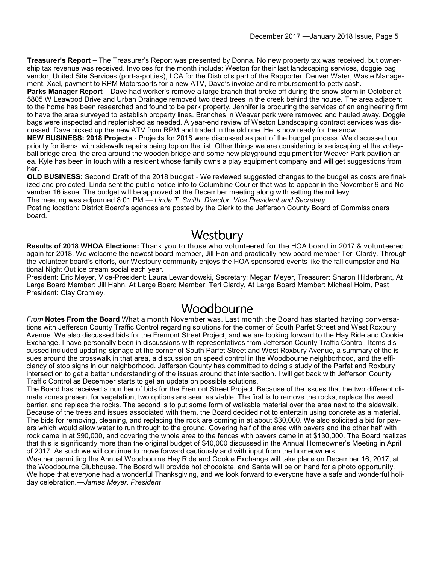**Treasurer's Report** – The Treasurer's Report was presented by Donna. No new property tax was received, but ownership tax revenue was received. Invoices for the month include: Weston for their last landscaping services, doggie bag vendor, United Site Services (port-a-potties), LCA for the District's part of the Rapporter, Denver Water, Waste Management, Xcel, payment to RPM Motorsports for a new ATV, Dave's invoice and reimbursement to petty cash.

**Parks Manager Report** – Dave had worker's remove a large branch that broke off during the snow storm in October at 5805 W Leawood Drive and Urban Drainage removed two dead trees in the creek behind the house. The area adjacent to the home has been researched and found to be park property. Jennifer is procuring the services of an engineering firm to have the area surveyed to establish property lines. Branches in Weaver park were removed and hauled away. Doggie bags were inspected and replenished as needed. A year-end review of Weston Landscaping contract services was discussed. Dave picked up the new ATV from RPM and traded in the old one. He is now ready for the snow.

**NEW BUSINESS: 2018 Projects** - Projects for 2018 were discussed as part of the budget process. We discussed our priority for items, with sidewalk repairs being top on the list. Other things we are considering is xeriscaping at the volleyball bridge area, the area around the wooden bridge and some new playground equipment for Weaver Park pavilion area. Kyle has been in touch with a resident whose family owns a play equipment company and will get suggestions from her.

**OLD BUSINESS:** Second Draft of the 2018 budget - We reviewed suggested changes to the budget as costs are finalized and projected. Linda sent the public notice info to Columbine Courier that was to appear in the November 9 and November 16 issue. The budget will be approved at the December meeting along with setting the mil levy.

The meeting was adjourned 8:01 PM.— *Linda T. Smith, Director, Vice President and Secretary*

Posting location: District Board's agendas are posted by the Clerk to the Jefferson County Board of Commissioners board.

#### Westbury

**Results of 2018 WHOA Elections:** Thank you to those who volunteered for the HOA board in 2017 & volunteered again for 2018. We welcome the newest board member, Jill Han and practically new board member Teri Clardy. Through the volunteer board's efforts, our Westbury community enjoys the HOA sponsored events like the fall dumpster and National Night Out ice cream social each year.

President: Eric Meyer, Vice-President: Laura Lewandowski, Secretary: Megan Meyer, Treasurer: Sharon Hilderbrant, At Large Board Member: Jill Hahn, At Large Board Member: Teri Clardy, At Large Board Member: Michael Holm, Past President: Clay Cromley.

### Woodbourne

*From* **Notes From the Board** What a month November was. Last month the Board has started having conversations with Jefferson County Traffic Control regarding solutions for the corner of South Parfet Street and West Roxbury Avenue. We also discussed bids for the Fremont Street Project, and we are looking forward to the Hay Ride and Cookie Exchange. I have personally been in discussions with representatives from Jefferson County Traffic Control. Items discussed included updating signage at the corner of South Parfet Street and West Roxbury Avenue, a summary of the issues around the crosswalk in that area, a discussion on speed control in the Woodbourne neighborhood, and the efficiency of stop signs in our neighborhood. Jefferson County has committed to doing s study of the Parfet and Roxbury intersection to get a better understanding of the issues around that intersection. I will get back with Jefferson County Traffic Control as December starts to get an update on possible solutions.

The Board has received a number of bids for the Fremont Street Project. Because of the issues that the two different climate zones present for vegetation, two options are seen as viable. The first is to remove the rocks, replace the weed barrier, and replace the rocks. The second is to put some form of walkable material over the area next to the sidewalk. Because of the trees and issues associated with them, the Board decided not to entertain using concrete as a material. The bids for removing, cleaning, and replacing the rock are coming in at about \$30,000. We also solicited a bid for pavers which would allow water to run through to the ground. Covering half of the area with pavers and the other half with rock came in at \$90,000, and covering the whole area to the fences with pavers came in at \$130,000. The Board realizes that this is significantly more than the original budget of \$40,000 discussed in the Annual Homeowner's Meeting in April of 2017. As such we will continue to move forward cautiously and with input from the homeowners.

Weather permitting the Annual Woodbourne Hay Ride and Cookie Exchange will take place on December 16, 2017, at the Woodbourne Clubhouse. The Board will provide hot chocolate, and Santa will be on hand for a photo opportunity. We hope that everyone had a wonderful Thanksgiving, and we look forward to everyone have a safe and wonderful holiday celebration.—*James Meyer, President*